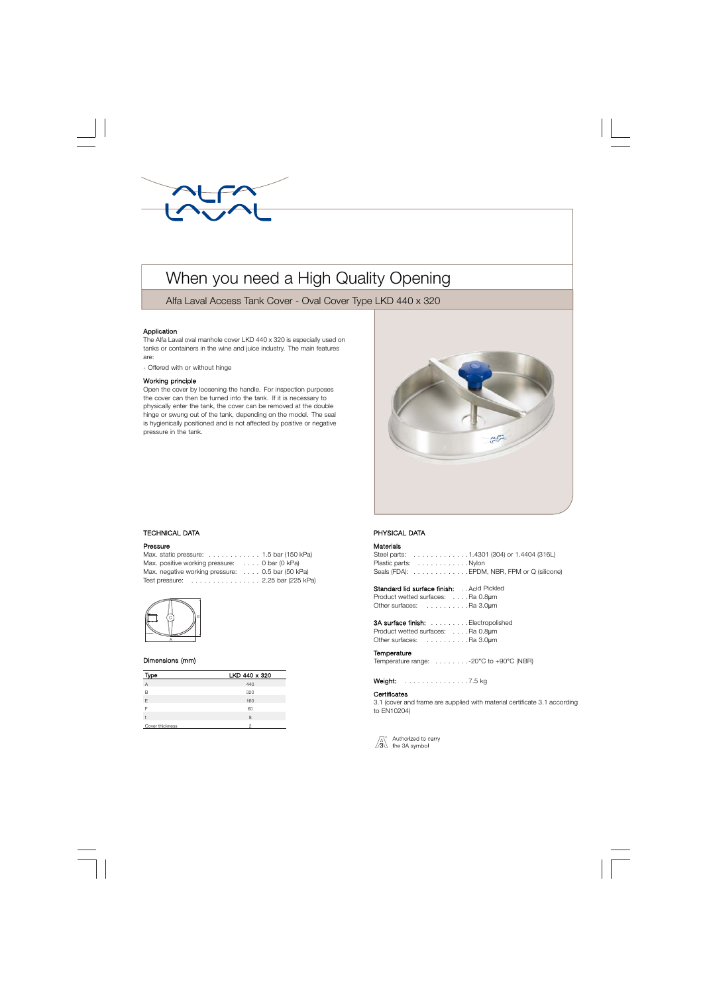

# When you need a High Quality Opening

Alfa Laval Access Tank Cover - Oval Cover Type LKD 440 x 320

## Application

The Alfa Laval oval manhole cover LKD 440 x 320 is especially used on tanks or containers in the wine and juice industry. The main features are:

- Offered with or without hinge

#### Working principle

Open the cover by loosening the handle. For inspection purposes the cover can then be turned into the tank. If it is necessary to physically enter the tank, the cover can be removed at the double hinge or swung out of the tank, depending on the model. The seal is hygienically positioned and is not affected by positive or negative pressure in the tank.



## . TECHNICAL DATA

#### Pressure

| Max. static pressure: $\ldots \ldots \ldots \ldots 1.5$ bar (150 kPa)  |  |
|------------------------------------------------------------------------|--|
| Max. positive working pressure: 0 bar (0 kPa)                          |  |
| Max. negative working pressure: 0.5 bar (50 kPa)                       |  |
| Test pressure: $\ldots \ldots \ldots \ldots \ldots$ 2.25 bar (225 kPa) |  |



#### Dimensions (mm)

| Type            | LKD 440 x 320 |
|-----------------|---------------|
| A               | 440           |
| B               | 320           |
| F               | 160           |
|                 | 60            |
|                 | 8             |
| Cover thickness | っ             |

# PHYSICAL DATA

# Materials

|                      |  |  |  |  |  |  | Steel parts: $\ldots \ldots \ldots \ldots \ldots 1,4301$ (304) or 1.4404 (316L) |
|----------------------|--|--|--|--|--|--|---------------------------------------------------------------------------------|
| Plastic parts: Nylon |  |  |  |  |  |  |                                                                                 |
|                      |  |  |  |  |  |  | Seals (FDA):  EPDM, NBR, FPM or Q (silicone)                                    |

| Standard lid surface finish:      |  | Acid Pickled |
|-----------------------------------|--|--------------|
| Product wetted surfaces: Ra 0.8um |  |              |
| Other surfaces:<br>. Ra 3.0µm     |  |              |

| <b>3A surface finish:</b> Electropolished |  |
|-------------------------------------------|--|
| Product wetted surfaces: Ra 0.8um         |  |
| Other surfaces: Ra 3.0um                  |  |

#### **Temperature**

Temperature range: . . . . . . . .-20°C to +90°C (NBR)

Weight: . . . . . . . . . . . . . . . 7.5 kg

## **Certificates**

3.1 (cover and frame are supplied with material certificate 3.1 according to EN10204)